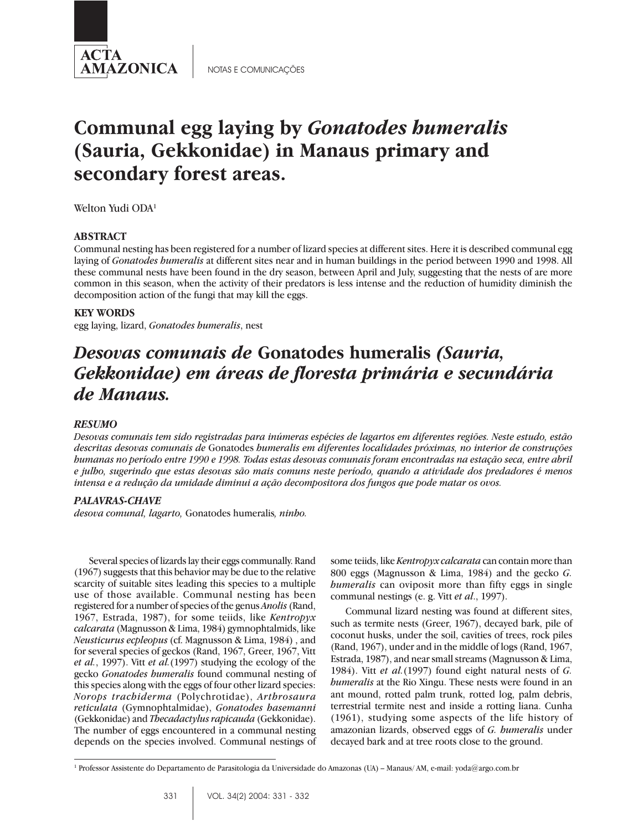

NOTAS E COMUNICAÇÕES

# **Communal egg laying by** *Gonatodes humeralis* **(Sauria, Gekkonidae) in Manaus primary and secondary forest areas.**

Welton Yudi ODA<sup>1</sup>

## **ABSTRACT**

Communal nesting has been registered for a number of lizard species at different sites. Here it is described communal egg laying of *Gonatodes humeralis* at different sites near and in human buildings in the period between 1990 and 1998. All these communal nests have been found in the dry season, between April and July, suggesting that the nests of are more common in this season, when the activity of their predators is less intense and the reduction of humidity diminish the decomposition action of the fungi that may kill the eggs.

#### **KEY WORDS**

egg laying, lizard, *Gonatodes humeralis*, nest

# *Desovas comunais de* **Gonatodes humeralis** *(Sauria, Gekkonidae) em áreas de floresta primária e secundária de Manaus.*

#### *RESUMO*

*Desovas comunais tem sido registradas para inúmeras espécies de lagartos em diferentes regiões. Neste estudo, estão descritas desovas comunais de* Gonatodes *humeralis em diferentes localidades próximas, no interior de construções humanas no período entre 1990 e 1998. Todas estas desovas comunais foram encontradas na estação seca, entre abril e julho, sugerindo que estas desovas são mais comuns neste período, quando a atividade dos predadores é menos intensa e a redução da umidade diminui a ação decompositora dos fungos que pode matar os ovos.*

#### *PALAVRAS-CHAVE*

*desova comunal, lagarto,* Gonatodes humeralis*, ninho.*

Several species of lizards lay their eggs communally. Rand (1967) suggests that this behavior may be due to the relative scarcity of suitable sites leading this species to a multiple use of those available. Communal nesting has been registered for a number of species of the genus *Anolis* (Rand, 1967, Estrada, 1987), for some teiids, like *Kentropyx calcarata* (Magnusson & Lima, 1984) gymnophtalmids, like *Neusticurus ecpleopus* (cf. Magnusson & Lima, 1984) , and for several species of geckos (Rand, 1967, Greer, 1967, Vitt *et al.*, 1997). Vitt *et al.*(1997) studying the ecology of the gecko *Gonatodes humeralis* found communal nesting of this species along with the eggs of four other lizard species: *Norops trachiderma* (Polychrotidae), *Arthrosaura reticulata* (Gymnophtalmidae), *Gonatodes hasemanni* (Gekkonidae) and *Thecadactylus rapicauda* (Gekkonidae). The number of eggs encountered in a communal nesting depends on the species involved. Communal nestings of some teiids, like *Kentropyx calcarata* can contain more than 800 eggs (Magnusson & Lima, 1984) and the gecko *G. humeralis* can oviposit more than fifty eggs in single communal nestings (e. g. Vitt *et al*., 1997).

Communal lizard nesting was found at different sites, such as termite nests (Greer, 1967), decayed bark, pile of coconut husks, under the soil, cavities of trees, rock piles (Rand, 1967), under and in the middle of logs (Rand, 1967, Estrada, 1987), and near small streams (Magnusson & Lima, 1984). Vitt *et al.*(1997) found eight natural nests of *G. humeralis* at the Rio Xingu. These nests were found in an ant mound, rotted palm trunk, rotted log, palm debris, terrestrial termite nest and inside a rotting liana. Cunha (1961), studying some aspects of the life history of amazonian lizards, observed eggs of *G. humeralis* under decayed bark and at tree roots close to the ground.

<sup>1</sup> Professor Assistente do Departamento de Parasitologia da Universidade do Amazonas (UA) – Manaus/ AM, e-mail: yoda@argo.com.br